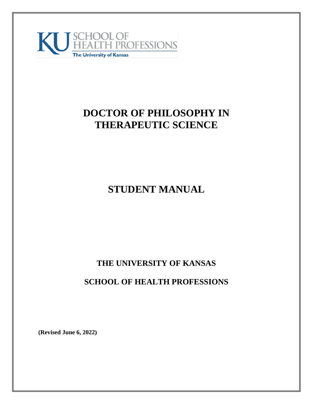

# **DOCTOR OF PHILOSOPHY IN THERAPEUTIC SCIENCE**

# **STUDENT MANUAL**

# **THE UNIVERSITY OF KANSAS**

# **SCHOOL OF HEALTH PROFESSIONS**

**(Revised June 6, 2022)**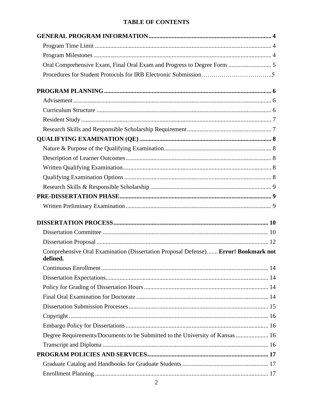# **TABLE OF CONTENTS**

| Oral Comprehensive Exam, Final Oral Exam and Progress to Degree Form  5                        |  |
|------------------------------------------------------------------------------------------------|--|
|                                                                                                |  |
|                                                                                                |  |
|                                                                                                |  |
|                                                                                                |  |
|                                                                                                |  |
|                                                                                                |  |
|                                                                                                |  |
|                                                                                                |  |
|                                                                                                |  |
|                                                                                                |  |
|                                                                                                |  |
|                                                                                                |  |
|                                                                                                |  |
|                                                                                                |  |
|                                                                                                |  |
|                                                                                                |  |
|                                                                                                |  |
| Comprehensive Oral Examination (Dissertation Proposal Defense) Error! Bookmark not<br>defined. |  |
|                                                                                                |  |
|                                                                                                |  |
|                                                                                                |  |
|                                                                                                |  |
|                                                                                                |  |
|                                                                                                |  |
|                                                                                                |  |
| Degree Requirements/Documents to be Submitted to the University of Kansas  16                  |  |
|                                                                                                |  |
|                                                                                                |  |
|                                                                                                |  |
|                                                                                                |  |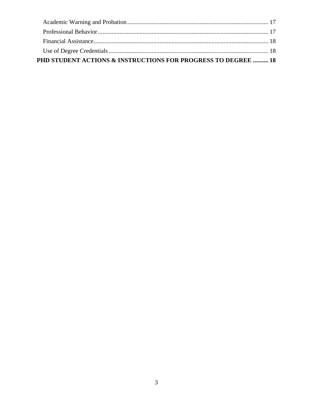| <b>PHD STUDENT ACTIONS &amp; INSTRUCTIONS FOR PROGRESS TO DEGREE  18</b> |  |
|--------------------------------------------------------------------------|--|
|                                                                          |  |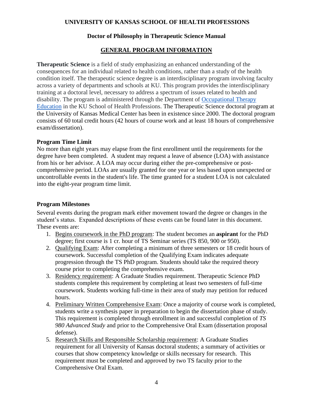# **UNIVERSITY OF KANSAS SCHOOL OF HEALTH PROFESSIONS**

# **Doctor of Philosophy in Therapeutic Science Manual**

# **GENERAL PROGRAM INFORMATION**

<span id="page-3-0"></span>**Therapeutic Science** is a field of study emphasizing an enhanced understanding of the consequences for an individual related to health conditions, rather than a study of the health condition itself. The therapeutic science degree is an interdisciplinary program involving faculty across a variety of departments and schools at KU. This program provides the interdisciplinary training at a doctoral level, necessary to address a spectrum of issues related to health and disability. The program is administered through the Department of [Occupational Therapy](http://ot.kumc.edu/)  [Education](http://ot.kumc.edu/) in the KU School of Health Professions. The Therapeutic Science doctoral program at the University of Kansas Medical Center has been in existence since 2000. The doctoral program consists of 60 total credit hours (42 hours of course work and at least 18 hours of comprehensive exam/dissertation).

#### <span id="page-3-1"></span>**Program Time Limit**

No more than eight years may elapse from the first enrollment until the requirements for the degree have been completed. A student may request a leave of absence (LOA) with assistance from his or her advisor. A LOA may occur during either the pre-comprehensive or postcomprehensive period. LOAs are usually granted for one year or less based upon unexpected or uncontrollable events in the student's life. The time granted for a student LOA is not calculated into the eight-year program time limit.

# <span id="page-3-2"></span>**Program Milestones**

Several events during the program mark either movement toward the degree or changes in the student's status. Expanded descriptions of these events can be found later in this document. These events are:

- 1. Begins coursework in the PhD program: The student becomes an **aspirant** for the PhD degree; first course is 1 cr. hour of TS Seminar series (TS 850, 900 or 950).
- 2. Qualifying Exam: After completing a minimum of three semesters or 18 credit hours of coursework. Successful completion of the Qualifying Exam indicates adequate progression through the TS PhD program. Students should take the required theory course prior to completing the comprehensive exam.
- 3. Residency requirement: A Graduate Studies requirement. Therapeutic Science PhD students complete this requirement by completing at least two semesters of full-time coursework. Students working full-time in their area of study may petition for reduced hours.
- 4. Preliminary Written Comprehensive Exam: Once a majority of course work is completed, students write a synthesis paper in preparation to begin the dissertation phase of study. This requirement is completed through enrollment in and successful completion of *TS 980 Advanced Study* and prior to the Comprehensive Oral Exam (dissertation proposal defense).
- 5. Research Skills and Responsible Scholarship requirement: A Graduate Studies requirement for all University of Kansas doctoral students; a summary of activities or courses that show competency knowledge or skills necessary for research. This requirement must be completed and approved by two TS faculty prior to the Comprehensive Oral Exam.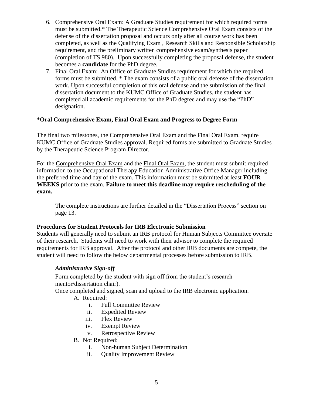- 6. Comprehensive Oral Exam: A Graduate Studies requirement for which required forms must be submitted.\* The Therapeutic Science Comprehensive Oral Exam consists of the defense of the dissertation proposal and occurs only after all course work has been completed, as well as the Qualifying Exam , Research Skills and Responsible Scholarship requirement, and the preliminary written comprehensive exam/synthesis paper (completion of TS 980). Upon successfully completing the proposal defense, the student becomes a **candidate** for the PhD degree.
- 7. Final Oral Exam: An Office of Graduate Studies requirement for which the required forms must be submitted. \* The exam consists of a public oral defense of the dissertation work. Upon successful completion of this oral defense and the submission of the final dissertation document to the KUMC Office of Graduate Studies, the student has completed all academic requirements for the PhD degree and may use the "PhD" designation.

# <span id="page-4-0"></span>**\*Oral Comprehensive Exam, Final Oral Exam and Progress to Degree Form**

The final two milestones, the Comprehensive Oral Exam and the Final Oral Exam, require KUMC Office of Graduate Studies approval. Required forms are submitted to Graduate Studies by the Therapeutic Science Program Director.

For the Comprehensive Oral Exam and the Final Oral Exam, the student must submit required information to the Occupational Therapy Education Administrative Office Manager including the preferred time and day of the exam. This information must be submitted at least **FOUR WEEKS** prior to the exam. **Failure to meet this deadline may require rescheduling of the exam.**

The complete instructions are further detailed in the "Dissertation Process" section on page 13.

#### **Procedures for Student Protocols for IRB Electronic Submission**

Students will generally need to submit an IRB protocol for Human Subjects Committee oversite of their research. Students will need to work with their advisor to complete the required requirements for IRB approval. After the protocol and other IRB documents are compete, the student will need to follow the below departmental processes before submission to IRB.

#### *Administrative Sign-off*

Form completed by the student with sign off from the student's research mentor/dissertation chair).

Once completed and signed, scan and upload to the IRB electronic application.

- A. Required:
	- i. Full Committee Review
	- ii. Expedited Review
	- iii. Flex Review
	- iv. Exempt Review
	- v. Retrospective Review
- B. Not Required:
	- i. Non-human Subject Determination
	- ii. Quality Improvement Review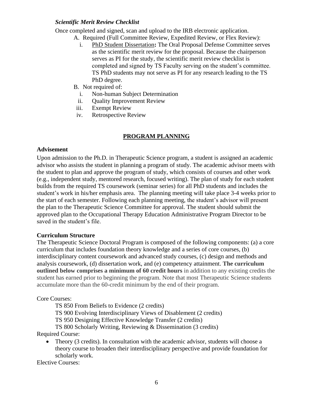# *Scientific Merit Review Checklist*

Once completed and signed, scan and upload to the IRB electronic application.

- A. Required (Full Committee Review, Expedited Review, or Flex Review):
	- i. PhD Student Dissertation**:** The Oral Proposal Defense Committee serves as the scientific merit review for the proposal. Because the chairperson serves as PI for the study, the scientific merit review checklist is completed and signed by TS Faculty serving on the student's committee. TS PhD students may not serve as PI for any research leading to the TS PhD degree.
	- B. Not required of:
		- i. Non-human Subject Determination
	- ii. Quality Improvement Review
	- iii. Exempt Review
	- iv. Retrospective Review

#### **PROGRAM PLANNING**

#### <span id="page-5-1"></span><span id="page-5-0"></span>**Advisement**

Upon admission to the Ph.D. in Therapeutic Science program, a student is assigned an academic advisor who assists the student in planning a program of study. The academic advisor meets with the student to plan and approve the program of study, which consists of courses and other work (e.g., independent study, mentored research, focused writing). The plan of study for each student builds from the required TS coursework (seminar series) for all PhD students and includes the student's work in his/her emphasis area. The planning meeting will take place 3-4 weeks prior to the start of each semester. Following each planning meeting, the student's advisor will present the plan to the Therapeutic Science Committee for approval. The student should submit the approved plan to the Occupational Therapy Education Administrative Program Director to be saved in the student's file.

#### **Curriculum Structure**

The Therapeutic Science Doctoral Program is composed of the following components: (a) a core curriculum that includes foundation theory knowledge and a series of core courses, (b) interdisciplinary content coursework and advanced study courses, (c) design and methods and analysis coursework, (d) dissertation work, and (e) competency attainment. **The curriculum outlined below comprises a minimum of 60 credit hours** in addition to any existing credits the student has earned prior to beginning the program. Note that most Therapeutic Science students accumulate more than the 60-credit minimum by the end of their program.

#### Core Courses:

TS 850 From Beliefs to Evidence (2 credits)

TS 900 Evolving Interdisciplinary Views of Disablement (2 credits)

TS 950 Designing Effective Knowledge Transfer (2 credits)

TS 800 Scholarly Writing, Reviewing & Dissemination (3 credits)

Required Course:

• Theory (3 credits). In consultation with the academic advisor, students will choose a theory course to broaden their interdisciplinary perspective and provide foundation for scholarly work.

Elective Courses: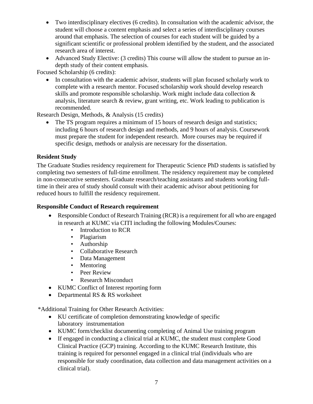- Two interdisciplinary electives (6 credits). In consultation with the academic advisor, the student will choose a content emphasis and select a series of interdisciplinary courses around that emphasis. The selection of courses for each student will be guided by a significant scientific or professional problem identified by the student, and the associated research area of interest.
- Advanced Study Elective: (3 credits) This course will allow the student to pursue an indepth study of their content emphasis.

Focused Scholarship (6 credits):

• In consultation with the academic advisor, students will plan focused scholarly work to complete with a research mentor. Focused scholarship work should develop research skills and promote responsible scholarship. Work might include data collection & analysis, literature search & review, grant writing, etc. Work leading to publication is recommended.

Research Design, Methods, & Analysis (15 credits)

The TS program requires a minimum of 15 hours of research design and statistics; including 6 hours of research design and methods, and 9 hours of analysis. Coursework must prepare the student for independent research. More courses may be required if specific design, methods or analysis are necessary for the dissertation.

# <span id="page-6-0"></span>**Resident Study**

The Graduate Studies residency requirement for Therapeutic Science PhD students is satisfied by completing two semesters of full-time enrollment. The residency requirement may be completed in non-consecutive semesters. Graduate research/teaching assistants and students working fulltime in their area of study should consult with their academic advisor about petitioning for reduced hours to fulfill the residency requirement.

# **Responsible Conduct of Research requirement**

- Responsible Conduct of Research Training (RCR) is a requirement for all who are engaged in research at KUMC via CITI including the following Modules/Courses:
	- Introduction to RCR
	- Plagiarism
	- Authorship
	- Collaborative Research
	- Data Management
	- Mentoring
	- Peer Review
	- Research Misconduct
- KUMC Conflict of Interest reporting form
- Departmental RS & RS worksheet

\*Additional Training for Other Research Activities:

- KU certificate of completion demonstrating knowledge of specific laboratory instrumentation
- KUMC form/checklist documenting completing of Animal Use training program
- If engaged in conducting a clinical trial at KUMC, the student must complete Good Clinical Practice (GCP) training. According to the KUMC Research Institute, this training is required for personnel engaged in a clinical trial (individuals who are responsible for study coordination, data collection and data management activities on a clinical trial).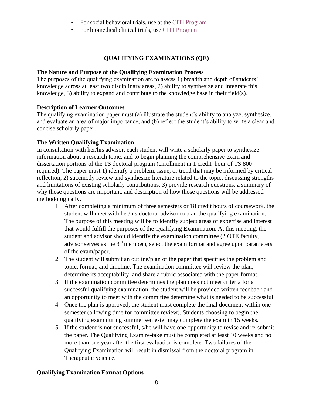- For social behavioral trials, use at the [CITI Program](https://www.citiprogram.org/index.cfm?pageID=14)
- For biomedical clinical trials, use [CITI Program](http://www.citiprogram.org/)

# **QUALIFYING EXAMINATIONS (QE)**

#### <span id="page-7-0"></span>**The Nature and Purpose of the Qualifying Examination Process**

The purposes of the qualifying examination are to assess 1) breadth and depth of students' knowledge across at least two disciplinary areas, 2) ability to synthesize and integrate this knowledge, 3) ability to expand and contribute to the knowledge base in their field(s).

# **Description of Learner Outcomes**

The qualifying examination paper must (a) illustrate the student's ability to analyze, synthesize, and evaluate an area of major importance, and (b) reflect the student's ability to write a clear and concise scholarly paper.

# **The Written Qualifying Examination**

In consultation with her/his advisor, each student will write a scholarly paper to synthesize information about a research topic, and to begin planning the comprehensive exam and dissertation portions of the TS doctoral program (enrollment in 1 credit hour of TS 800 required). The paper must 1) identify a problem, issue, or trend that may be informed by critical reflection, 2) succinctly review and synthesize literature related to the topic, discussing strengths and limitations of existing scholarly contributions, 3) provide research questions, a summary of why those questions are important, and description of how those questions will be addressed methodologically.

- 1. After completing a minimum of three semesters or 18 credit hours of coursework, the student will meet with her/his doctoral advisor to plan the qualifying examination. The purpose of this meeting will be to identify subject areas of expertise and interest that would fulfill the purposes of the Qualifying Examination. At this meeting, the student and advisor should identify the examination committee (2 OTE faculty, advisor serves as the  $3<sup>rd</sup>$  member), select the exam format and agree upon parameters of the exam/paper.
- 2. The student will submit an outline/plan of the paper that specifies the problem and topic, format, and timeline. The examination committee will review the plan, determine its acceptability, and share a rubric associated with the paper format.
- 3. If the examination committee determines the plan does not meet criteria for a successful qualifying examination, the student will be provided written feedback and an opportunity to meet with the committee determine what is needed to be successful.
- 4. Once the plan is approved, the student must complete the final document within one semester (allowing time for committee review). Students choosing to begin the qualifying exam during summer semester may complete the exam in 15 weeks.
- 5. If the student is not successful, s/he will have one opportunity to revise and re-submit the paper. The Qualifying Exam re-take must be completed at least 10 weeks and no more than one year after the first evaluation is complete. Two failures of the Qualifying Examination will result in dismissal from the doctoral program in Therapeutic Science.

# **Qualifying Examination Format Options**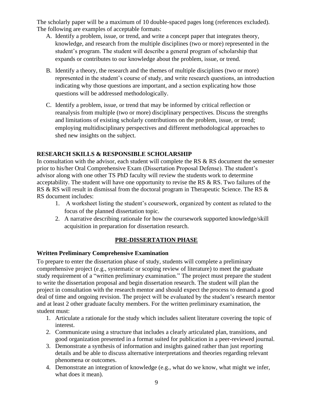The scholarly paper will be a maximum of 10 double-spaced pages long (references excluded). The following are examples of acceptable formats:

- A. Identify a problem, issue, or trend, and write a concept paper that integrates theory, knowledge, and research from the multiple disciplines (two or more) represented in the student's program. The student will describe a general program of scholarship that expands or contributes to our knowledge about the problem, issue, or trend.
- B. Identify a theory, the research and the themes of multiple disciplines (two or more) represented in the student's course of study, and write research questions, an introduction indicating why those questions are important, and a section explicating how those questions will be addressed methodologically.
- C. Identify a problem, issue, or trend that may be informed by critical reflection or reanalysis from multiple (two or more) disciplinary perspectives. Discuss the strengths and limitations of existing scholarly contributions on the problem, issue, or trend; employing multidisciplinary perspectives and different methodological approaches to shed new insights on the subject.

# **RESEARCH SKILLS & RESPONSIBLE SCHOLARSHIP**

In consultation with the advisor, each student will complete the RS  $\&$  RS document the semester prior to his/her Oral Comprehensive Exam (Dissertation Proposal Defense). The student's advisor along with one other TS PhD faculty will review the students work to determine acceptability. The student will have one opportunity to revise the RS & RS. Two failures of the RS & RS will result in dismissal from the doctoral program in Therapeutic Science. The RS & RS document includes:

- 1. A worksheet listing the student's coursework, organized by content as related to the focus of the planned dissertation topic.
- 2. A narrative describing rationale for how the coursework supported knowledge/skill acquisition in preparation for dissertation research.

# **PRE-DISSERTATION PHASE**

# **Written Preliminary Comprehensive Examination**

To prepare to enter the dissertation phase of study, students will complete a preliminary comprehensive project (e.g., systematic or scoping review of literature) to meet the graduate study requirement of a "written preliminary examination." The project must prepare the student to write the dissertation proposal and begin dissertation research. The student will plan the project in consultation with the research mentor and should expect the process to demand a good deal of time and ongoing revision. The project will be evaluated by the student's research mentor and at least 2 other graduate faculty members. For the written preliminary examination, the student must:

- 1. Articulate a rationale for the study which includes salient literature covering the topic of interest.
- 2. Communicate using a structure that includes a clearly articulated plan, transitions, and good organization presented in a format suited for publication in a peer-reviewed journal.
- 3. Demonstrate a synthesis of information and insights gained rather than just reporting details and be able to discuss alternative interpretations and theories regarding relevant phenomena or outcomes.
- 4. Demonstrate an integration of knowledge (e.g., what do we know, what might we infer, what does it mean).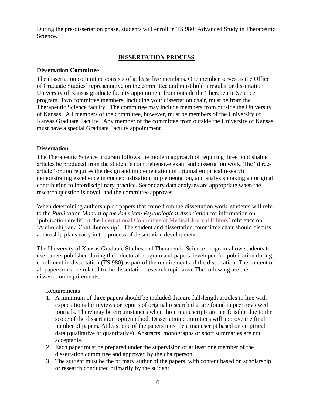During the pre-dissertation phase, students will enroll in TS 980: Advanced Study in Therapeutic Science.

# **DISSERTATION PROCESS**

#### <span id="page-9-1"></span><span id="page-9-0"></span>**Dissertation Committee**

The dissertation committee consists of at least five members. One member serves as the Office of Graduate Studies' representative on the committee and must hold a regular or dissertation University of Kansas graduate faculty appointment from outside the Therapeutic Science program. Two committee members, including your dissertation chair, must be from the Therapeutic Science faculty. The committee may include members from outside the University of Kansas. All members of the committee, however, must be members of the University of Kansas Graduate Faculty. Any member of the committee from outside the University of Kansas must have a special Graduate Faculty appointment.

#### **Dissertation**

The Therapeutic Science program follows the modern approach of requiring three publishable articles be produced from the student's comprehensive exam and dissertation work. The "threearticle" option requires the design and implementation of original empirical research demonstrating excellence in conceptualization, implementation, and analysis making an original contribution to interdisciplinary practice. Secondary data analyses are appropriate when the research question is novel, and the committee approves.

When determining authorship on papers that come from the dissertation work, students will refer to the *Publication Manual of the American Psychological Association* for information on 'publication credit' or the [International Committee of Medical Journal Editors'](http://www.icmje.org/) reference on 'Authorship and Contributorship'. The student and dissertation committee chair should discuss authorship plans early in the process of dissertation development

The University of Kansas Graduate Studies and Therapeutic Science program allow students to use papers published during their doctoral program and papers developed for publication during enrollment in dissertation (TS 980) as part of the requirements of the dissertation. The content of all papers must be related to the dissertation research topic area. The following are the dissertation requirements.

#### Requirements

- 1. A minimum of three papers should be included that are full-length articles in line with expectations for reviews or reports of original research that are found in peer-reviewed journals. There may be circumstances when three manuscripts are not feasible due to the scope of the dissertation topic/method. Dissertation committees will approve the final number of papers. At least one of the papers must be a manuscript based on empirical data (qualitative or quantitative). Abstracts, monographs or short summaries are not acceptable.
- 2. Each paper must be prepared under the supervision of at least one member of the dissertation committee and approved by the chairperson.
- 3. The student must be the primary author of the papers, with content based on scholarship or research conducted primarily by the student.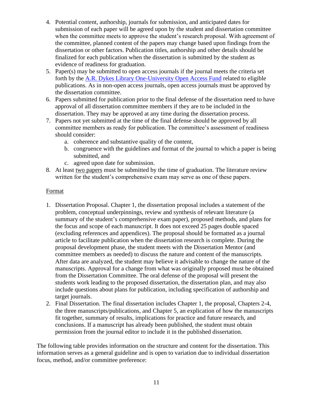- 4. Potential content, authorship, journals for submission, and anticipated dates for submission of each paper will be agreed upon by the student and dissertation committee when the committee meets to approve the student's research proposal. With agreement of the committee, planned content of the papers may change based upon findings from the dissertation or other factors. Publication titles, authorship and other details should be finalized for each publication when the dissertation is submitted by the student as evidence of readiness for graduation.
- 5. Paper(s) may be submitted to open access journals if the journal meets the criteria set forth by the A.R. [Dykes Library One-University Open Access Fund](http://library.kumc.edu/authors-fund.xmlhttps:/www.kumc.edu/dykes-library/services-and-resources/open-access-author-fund.html) related to eligible publications. As in non-open access journals, open access journals must be approved by the dissertation committee.
- 6. Papers submitted for publication prior to the final defense of the dissertation need to have approval of all dissertation committee members if they are to be included in the dissertation. They may be approved at any time during the dissertation process.
- 7. Papers not yet submitted at the time of the final defense should be approved by all committee members as ready for publication. The committee's assessment of readiness should consider:
	- a. coherence and substantive quality of the content,
	- b. congruence with the guidelines and format of the journal to which a paper is being submitted, and
	- c. agreed upon date for submission.
- 8. At least two papers must be submitted by the time of graduation. The literature review written for the student's comprehensive exam may serve as one of these papers.

# Format

- 1. Dissertation Proposal. Chapter 1, the dissertation proposal includes a statement of the problem, conceptual underpinnings, review and synthesis of relevant literature (a summary of the student's comprehensive exam paper), proposed methods, and plans for the focus and scope of each manuscript. It does not exceed 25 pages double spaced (excluding references and appendices). The proposal should be formatted as a journal article to facilitate publication when the dissertation research is complete. During the proposal development phase, the student meets with the Dissertation Mentor (and committee members as needed) to discuss the nature and content of the manuscripts. After data are analyzed, the student may believe it advisable to change the nature of the manuscripts. Approval for a change from what was originally proposed must be obtained from the Dissertation Committee. The oral defense of the proposal will present the students work leading to the proposed dissertation, the dissertation plan, and may also include questions about plans for publication, including specification of authorship and target journals.
- 2. Final Dissertation. The final dissertation includes Chapter 1, the proposal, Chapters 2-4, the three manuscripts/publications, and Chapter 5, an explication of how the manuscripts fit together, summary of results, implications for practice and future research, and conclusions. If a manuscript has already been published, the student must obtain permission from the journal editor to include it in the published dissertation.

The following table provides information on the structure and content for the dissertation. This information serves as a general guideline and is open to variation due to individual dissertation focus, method, and/or committee preference: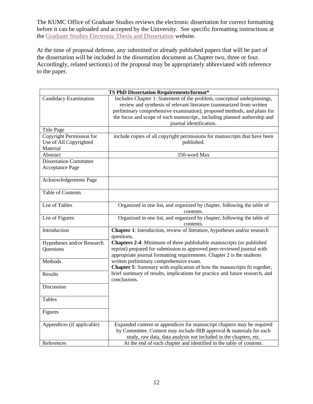The KUMC Office of Graduate Studies reviews the electronic dissertation for correct formatting before it can be uploaded and accepted by the University. See specific formatting instructions at the [Graduate Studies Electronic Thesis and Dissertation](http://www.graduate.ku.edu/-downloads/04-d4_ETDDissGuidelines.pdf) website.

At the time of proposal defense, any submitted or already published papers that will be part of the dissertation will be included in the dissertation document as Chapter two, three or four. Accordingly, related section(s) of the proposal may be appropriately abbreviated with reference to the paper.

| TS PhD Dissertation Requirements/format*                       |                                                                                                                                                                                                                                                                                                                                    |  |
|----------------------------------------------------------------|------------------------------------------------------------------------------------------------------------------------------------------------------------------------------------------------------------------------------------------------------------------------------------------------------------------------------------|--|
| Candidacy Examination                                          | Includes Chapter 1: Statement of the problem, conceptual underpinnings,<br>review and synthesis of relevant literature (summarized from written<br>preliminary comprehensive examination), proposed methods, and plans for<br>the focus and scope of each manuscript., including planned authorship and<br>journal identification. |  |
| <b>Title Page</b>                                              |                                                                                                                                                                                                                                                                                                                                    |  |
| Copyright Permission for<br>Use of All Copyrighted<br>Material | include copies of all copyright permissions for manuscripts that have been<br>published.                                                                                                                                                                                                                                           |  |
| Abstract                                                       | 350-word Max                                                                                                                                                                                                                                                                                                                       |  |
| <b>Dissertation Committee</b><br><b>Acceptance Page</b>        |                                                                                                                                                                                                                                                                                                                                    |  |
| Acknowledgements Page                                          |                                                                                                                                                                                                                                                                                                                                    |  |
| <b>Table of Contents</b>                                       |                                                                                                                                                                                                                                                                                                                                    |  |
| <b>List of Tables</b>                                          | Organized in one list, and organized by chapter, following the table of<br>contents.                                                                                                                                                                                                                                               |  |
| List of Figures                                                | Organized in one list, and organized by chapter, following the table of<br>contents.                                                                                                                                                                                                                                               |  |
| Introduction                                                   | Chapter 1: Introduction, review of literature, hypotheses and/or research<br>questions.                                                                                                                                                                                                                                            |  |
| Hypotheses and/or Research<br><b>Questions</b>                 | <b>Chapters 2-4:</b> Minimum of three publishable manuscripts (or published<br>reprint) prepared for submission to approved peer-reviewed journal with<br>appropriate journal formatting requirements. Chapter 2 is the students                                                                                                   |  |
| Methods                                                        | written preliminary comprehensive exam.<br><b>Chapter 5:</b> Summary with explication of how the manuscripts fit together,                                                                                                                                                                                                         |  |
| Results                                                        | brief summary of results, implications for practice and future research, and<br>conclusions.                                                                                                                                                                                                                                       |  |
| <b>Discussion</b>                                              |                                                                                                                                                                                                                                                                                                                                    |  |
| <b>Tables</b>                                                  |                                                                                                                                                                                                                                                                                                                                    |  |
| Figures                                                        |                                                                                                                                                                                                                                                                                                                                    |  |
| Appendices (if applicable)                                     | Expanded content or appendices for manuscript chapters may be required<br>by Committee. Content may include-IRB approval & materials for each<br>study, raw data, data analysis not included in the chapters, etc.                                                                                                                 |  |
| References                                                     | At the end of each chapter and identified in the table of contents.                                                                                                                                                                                                                                                                |  |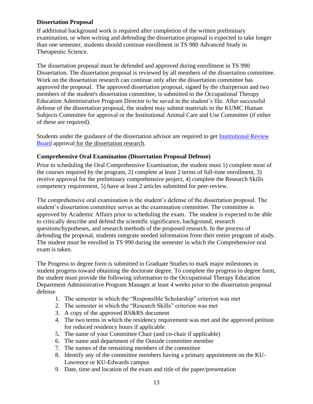# <span id="page-12-0"></span>**Dissertation Proposal**

If additional background work is required after completion of the written preliminary examination, or when writing and defending the dissertation proposal is expected to take longer than one semester, students should continue enrollment in TS 980 Advanced Study in Therapeutic Science.

The dissertation proposal must be defended and approved during enrollment in TS 990 Dissertation. The dissertation proposal is reviewed by all members of the dissertation committee. Work on the dissertation research can continue only after the dissertation committee has approved the proposal. The approved dissertation proposal, signed by the chairperson and two members of the student's dissertation committee, is submitted to the Occupational Therapy Education Administrative Program Director to be saved in the student's file. After successful defense of the dissertation proposal, the student may submit materials to the KUMC Human Subjects Committee for approval or the Institutional Animal Care and Use Committee (if either of these are required).

Students under the guidance of the dissertation advisor are required to get [Institutional Review](https://www.kumc.edu/research/research-administration/institutional-review-board.html)  [Board](https://www.kumc.edu/research/research-administration/institutional-review-board.html) approval for the dissertation research.

#### **Comprehensive Oral Examination (Dissertation Proposal Defense)**

Prior to scheduling the Oral Comprehensive Examination, the student must 1) complete most of the courses required by the program, 2) complete at least 2 terms of full-time enrollment, 3) receive approval for the preliminary comprehensive project, 4) complete the Research Skills competency requirement, 5) have at least 2 articles submitted for peer-review.

The comprehensive oral examination is the student's defense of the dissertation proposal. The student's dissertation committee serves as the examination committee. The committee is approved by Academic Affairs prior to scheduling the exam. The student is expected to be able to critically describe and defend the scientific significance, background, research questions/hypotheses, and research methods of the proposed research. In the process of defending the proposal, students integrate needed information from their entire program of study. The student must be enrolled in TS 990 during the semester in which the Comprehensive oral exam is taken.

The Progress to degree form is submitted to Graduate Studies to mark major milestones in student progress toward obtaining the doctorate degree. To complete the progress to degree form, the student must provide the following information to the Occupational Therapy Education Department Administrative Program Manager at least 4 weeks prior to the dissertation proposal defense

- 1. The semester in which the "Responsible Scholarship" criterion was met
- 2. The semester in which the "Research Skills" criterion was met
- 3. A copy of the approved RS&RS document
- 4. The two terms in which the residency requirement was met and the approved petition for reduced residency hours if applicable.
- 5. The name of your Committee Chair (and co-chair if applicable)
- 6. The name and department of the Outside committee member
- 7. The names of the remaining members of the committee
- 8. Identify any of the committee members having a primary appointment on the KU-Lawrence or KU-Edwards campus
- 9. Date, time and location of the exam and title of the paper/presentation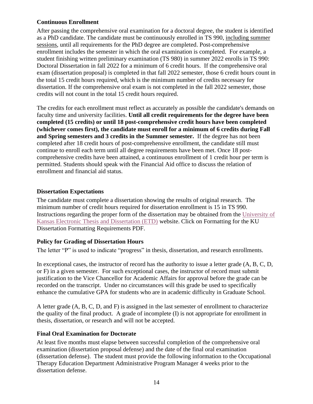# <span id="page-13-0"></span>**Continuous Enrollment**

After passing the comprehensive oral examination for a doctoral degree, the student is identified as a PhD candidate. The candidate must be continuously enrolled in TS 990, including summer sessions, until all requirements for the PhD degree are completed. Post-comprehensive enrollment includes the semester in which the oral examination is completed. For example, a student finishing written preliminary examination (TS 980) in summer 2022 enrolls in TS 990: Doctoral Dissertation in fall 2022 for a minimum of 6 credit hours. If the comprehensive oral exam (dissertation proposal) is completed in that fall 2022 semester, those 6 credit hours count in the total 15 credit hours required, which is the minimum number of credits necessary for dissertation. If the comprehensive oral exam is not completed in the fall 2022 semester, those credits will not count in the total 15 credit hours required.

The credits for each enrollment must reflect as accurately as possible the candidate's demands on faculty time and university facilities. **Until all credit requirements for the degree have been completed (15 credits) or until 18 post-comprehensive credit hours have been completed (whichever comes first), the candidate must enroll for a minimum of 6 credits during Fall and Spring semesters and 3 credits in the Summer semester.** If the degree has not been completed after 18 credit hours of post-comprehensive enrollment, the candidate still must continue to enroll each term until all degree requirements have been met. Once 18 postcomprehensive credits have been attained, a continuous enrollment of 1 credit hour per term is permitted. Students should speak with the Financial Aid office to discuss the relation of enrollment and financial aid status.

# <span id="page-13-1"></span>**Dissertation Expectations**

The candidate must complete a dissertation showing the results of original research. The minimum number of credit hours required for dissertation enrollment is 15 in TS 990. Instructions regarding the proper form of the dissertation may be obtained from the [University of](http://www.graduate.ku.edu/electronic-thesis-and-dissertation)  [Kansas Electronic Thesis and Dissertation \(ETD\)](http://www.graduate.ku.edu/electronic-thesis-and-dissertation) website. Click on Formatting for the KU Dissertation Formatting Requirements PDF.

# <span id="page-13-2"></span>**Policy for Grading of Dissertation Hours**

The letter "P" is used to indicate "progress" in thesis, dissertation, and research enrollments.

In exceptional cases, the instructor of record has the authority to issue a letter grade  $(A, B, C, D, D)$ or F) in a given semester. For such exceptional cases, the instructor of record must submit justification to the Vice Chancellor for Academic Affairs for approval before the grade can be recorded on the transcript. Under no circumstances will this grade be used to specifically enhance the cumulative GPA for students who are in academic difficulty in Graduate School.

A letter grade (A, B, C, D, and F) is assigned in the last semester of enrollment to characterize the quality of the final product. A grade of incomplete (I) is not appropriate for enrollment in thesis, dissertation, or research and will not be accepted.

# <span id="page-13-3"></span>**Final Oral Examination for Doctorate**

At least five months must elapse between successful completion of the comprehensive oral examination (dissertation proposal defense) and the date of the final oral examination (dissertation defense). The student must provide the following information to the Occupational Therapy Education Department Administrative Program Manager 4 weeks prior to the dissertation defense.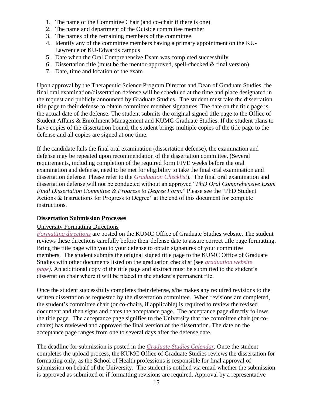- 1. The name of the Committee Chair (and co-chair if there is one)
- 2. The name and department of the Outside committee member
- 3. The names of the remaining members of the committee
- 4. Identify any of the committee members having a primary appointment on the KU-Lawrence or KU-Edwards campus
- 5. Date when the Oral Comprehensive Exam was completed successfully
- 6. Dissertation title (must be the mentor-approved, spell-checked  $&$  final version)
- 7. Date, time and location of the exam

Upon approval by the Therapeutic Science Program Director and Dean of Graduate Studies, the final oral examination/dissertation defense will be scheduled at the time and place designated in the request and publicly announced by Graduate Studies. The student must take the dissertation title page to their defense to obtain committee member signatures. The date on the title page is the actual date of the defense. The student submits the original signed title page to the Office of Student Affairs & Enrollment Management and KUMC Graduate Studies. If the student plans to have copies of the dissertation bound, the student brings multiple copies of the title page to the defense and all copies are signed at one time.

If the candidate fails the final oral examination (dissertation defense), the examination and defense may be repeated upon recommendation of the dissertation committee. (Several requirements, including completion of the required form FIVE weeks before the oral examination and defense, need to be met for eligibility to take the final oral examination and dissertation defense. Please refer to the *[Graduation Checklist](http://www.kumc.edu/academic-affairs/graduate-studies/graduation-information.html)*). The final oral examination and dissertation defense will not be conducted without an approved "*PhD Oral Comprehensive Exam Final Dissertation Committee & Progress to Degree Form.*" Please see the "PhD Student Actions & Instructions for Progress to Degree" at the end of this document for complete instructions.

#### <span id="page-14-0"></span>**Dissertation Submission Processes**

#### University Formatting Directions

*[Formatting directions](https://www.kumc.edu/academic-and-student-affairs/departments/graduate-studies/for-students/electronic-thesis-and-dissertation.html)* are posted on the KUMC Office of Graduate Studies website. The student reviews these directions carefully before their defense date to assure correct title page formatting. Bring the title page with you to your defense to obtain signatures of your committee members. The student submits the original signed title page to the KUMC Office of Graduate Studies with other documents listed on the graduation checklist (see *[graduation website](https://www.kumc.edu/academic-and-student-affairs/departments/graduate-studies/for-students/graduation-information.html)  [page\)](https://www.kumc.edu/academic-and-student-affairs/departments/graduate-studies/for-students/graduation-information.html)*. An additional copy of the title page and abstract must be submitted to the student's dissertation chair where it will be placed in the student's permanent file.

Once the student successfully completes their defense, s/he makes any required revisions to the written dissertation as requested by the dissertation committee. When revisions are completed, the student's committee chair (or co-chairs, if applicable) is required to review the revised document and then signs and dates the acceptance page. The acceptance page directly follows the title page. The acceptance page signifies to the University that the committee chair (or cochairs) has reviewed and approved the final version of the dissertation. The date on the acceptance page ranges from one to several days after the defense date.

The deadline for submission is posted in the *[Graduate Studies Calendar.](https://www.kumc.edu/academic-and-student-affairs/departments/graduate-studies/about/calendar-and-events.html)* Once the student completes the upload process, the KUMC Office of Graduate Studies reviews the dissertation for formatting only, as the School of Health professions is responsible for final approval of submission on behalf of the University. The student is notified via email whether the submission is approved as submitted or if formatting revisions are required. Approval by a representative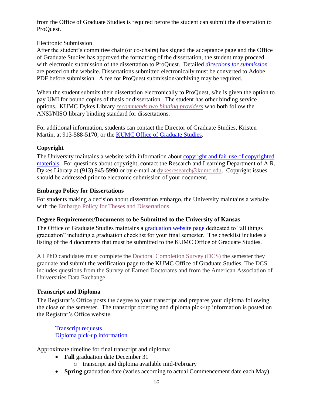from the Office of Graduate Studies is required before the student can submit the dissertation to ProQuest.

# Electronic Submission

After the student's committee chair (or co-chairs) has signed the acceptance page and the Office of Graduate Studies has approved the formatting of the dissertation, the student may proceed with electronic submission of the dissertation to ProQuest. Detailed *[directions for submission](https://graduate.ku.edu/submitting)* are posted on the website. Dissertations submitted electronically must be converted to Adobe PDF before submission. A fee for ProQuest submission/archiving may be required.

When the student submits their dissertation electronically to ProQuest, s/he is given the option to pay UMI for bound copies of thesis or dissertation. The student has other binding service options. KUMC Dykes Library *[recommends two binding providers](https://www.kumc.edu/academic-and-student-affairs/departments/graduate-studies/for-students/electronic-thesis-and-dissertation.html)* who both follow the ANSI/NISO library binding standard for dissertations.

For additional information, students can contact the Director of Graduate Studies, Kristen Martin, at 913-588-5170, or the [KUMC Office of Graduate Studies.](https://www.kumc.edu/academic-and-student-affairs/departments/graduate-studies.html)

# <span id="page-15-0"></span>**Copyright**

The University maintains a website with information about [copyright and fair use of copyrighted](https://www.kumc.edu/dykes-library/services-and-resources/copyright-information-and-faqs.html)  [materials.](https://www.kumc.edu/dykes-library/services-and-resources/copyright-information-and-faqs.html) For questions about copyright, contact the Research and Learning Department of A.R. Dykes Library at (913) 945-5990 or by e-mail at [dykesresearch@kumc.edu.](mailto:dykesresearch@kumc.edu) Copyright issues should be addressed prior to electronic submission of your document.

# <span id="page-15-1"></span>**Embargo Policy for Dissertations**

For students making a decision about dissertation embargo, the University maintains a website with the **Embargo Policy for Theses and Dissertations**.

# <span id="page-15-2"></span>**Degree Requirements/Documents to be Submitted to the University of Kansas**

The Office of Graduate Studies maintains a [graduation website page](https://www.kumc.edu/academic-and-student-affairs/departments/graduate-studies/for-students/graduation-information.html) dedicated to "all things graduation" including a graduation checklist for your final semester. The checklist includes a listing of the 4 documents that must be submitted to the KUMC Office of Graduate Studies.

All PhD candidates must complete the [Doctoral Completion Survey \(DCS\)](http://graduate.ku.edu/doctoral-completion-survey) the semester they graduate and submit the verification page to the KUMC Office of Graduate Studies. The DCS includes questions from the Survey of Earned Doctorates and from the American Association of Universities Data Exchange.

# <span id="page-15-3"></span>**Transcript and Diploma**

The Registrar's Office posts the degree to your transcript and prepares your diploma following the close of the semester. The transcript ordering and diploma pick-up information is posted on the Registrar's Office website.

[Transcript requests](https://www.kumc.edu/academic-and-student-affairs/departments/registrars-office/services.html) [Diploma pick-up information](https://www.kumc.edu/academic-and-student-affairs/departments/registrars-office/services/diplomas-and-certificates.html) 

Approximate timeline for final transcript and diploma:

- **Fall** graduation date December 31
	- o transcript and diploma available mid-February
- **Spring** graduation date (varies according to actual Commencement date each May)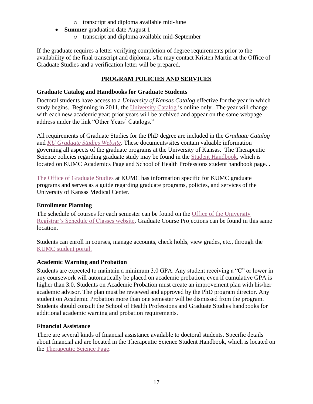- o transcript and diploma available mid-June
- **Summer** graduation date August 1
	- o transcript and diploma available mid-September

If the graduate requires a letter verifying completion of degree requirements prior to the availability of the final transcript and diploma, s/he may contact Kristen Martin at the Office of Graduate Studies and a verification letter will be prepared.

# **PROGRAM POLICIES AND SERVICES**

# <span id="page-16-1"></span><span id="page-16-0"></span>**Graduate Catalog and Handbooks for Graduate Students**

Doctoral students have access to a *University of Kansas Catalog* effective for the year in which study begins. Beginning in 2011, the [University Catalog](http://catalog.ku.edu/) is online only. The year will change with each new academic year; prior years will be archived and appear on the same webpage address under the link "Other Years' Catalogs."

All requirements of Graduate Studies for the PhD degree are included in the *Graduate Catalog* and *[KU Graduate Studies Website](http://www.graduate.ku.edu/)*. These documents/sites contain valuable information governing all aspects of the graduate programs at the University of Kansas. The Therapeutic Science policies regarding graduate study may be found in the [Student Handbook,](http://www.kumc.edu/studenthandbook/) which is located on KUMC Academics Page and School of Health Professions student handbook page. .

[The Office of Graduate Studies](http://www.kumc.edu/academic-affairs/graduate-studies.html) at KUMC has information specific for KUMC graduate programs and serves as a guide regarding graduate programs, policies, and services of the University of Kansas Medical Center.

# <span id="page-16-2"></span>**Enrollment Planning**

The schedule of courses for each semester can be found on the [Office of the University](https://my.ku.edu/Classes/ExternalDisplay.action)  [Registrar's Schedule of Classes website.](https://my.ku.edu/Classes/ExternalDisplay.action) Graduate Course Projections can be found in this same location.

Students can enroll in courses, manage accounts, check holds, view grades, etc., through the [KUMC student portal.](https://www.kumc.edu/kumc-login.html)

# <span id="page-16-3"></span>**Academic Warning and Probation**

Students are expected to maintain a minimum 3.0 GPA. Any student receiving a "C" or lower in any coursework will automatically be placed on academic probation, even if cumulative GPA is higher than 3.0. Students on Academic Probation must create an improvement plan with his/her academic advisor. The plan must be reviewed and approved by the PhD program director. Any student on Academic Probation more than one semester will be dismissed from the program. Students should consult the School of Health Professions and Graduate Studies handbooks for additional academic warning and probation requirements.

# <span id="page-16-4"></span>**Financial Assistance**

There are several kinds of financial assistance available to doctoral students. Specific details about financial aid are located in the Therapeutic Science Student Handbook, which is located on the [Therapeutic Science Page.](http://www.kumc.edu/school-of-health-professions/therapeutic-science.html)